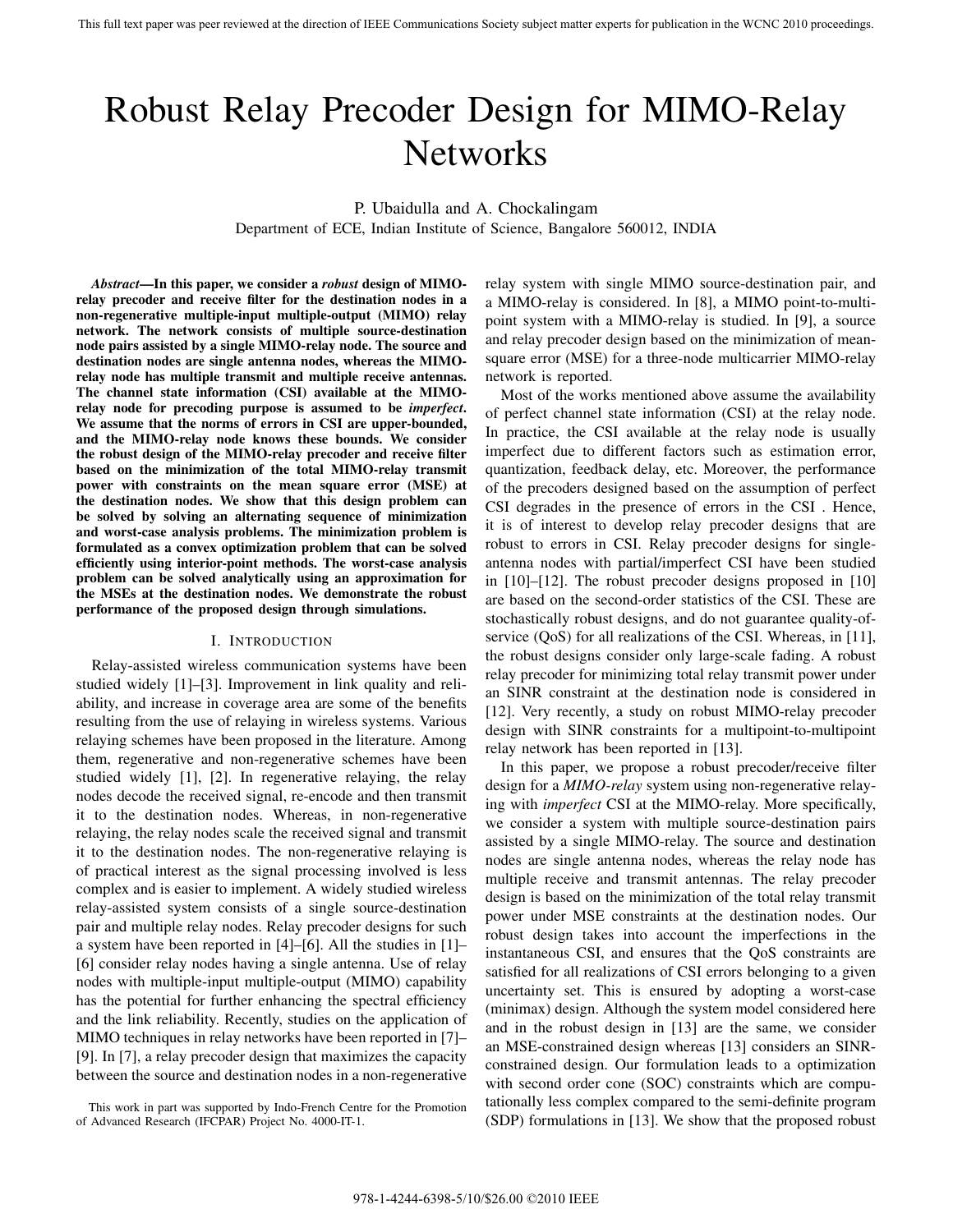# Robust Relay Precoder Design for MIMO-Relay **Networks**

P. Ubaidulla and A. Chockalingam

Department of ECE, Indian Institute of Science, Bangalore 560012, INDIA

*Abstract***—In this paper, we consider a** *robust* **design of MIMOrelay precoder and receive filter for the destination nodes in a non-regenerative multiple-input multiple-output (MIMO) relay network. The network consists of multiple source-destination node pairs assisted by a single MIMO-relay node. The source and destination nodes are single antenna nodes, whereas the MIMOrelay node has multiple transmit and multiple receive antennas. The channel state information (CSI) available at the MIMOrelay node for precoding purpose is assumed to be** *imperfect***. We assume that the norms of errors in CSI are upper-bounded, and the MIMO-relay node knows these bounds. We consider the robust design of the MIMO-relay precoder and receive filter based on the minimization of the total MIMO-relay transmit power with constraints on the mean square error (MSE) at the destination nodes. We show that this design problem can be solved by solving an alternating sequence of minimization and worst-case analysis problems. The minimization problem is formulated as a convex optimization problem that can be solved efficiently using interior-point methods. The worst-case analysis problem can be solved analytically using an approximation for the MSEs at the destination nodes. We demonstrate the robust performance of the proposed design through simulations.**

# I. INTRODUCTION

Relay-assisted wireless communication systems have been studied widely [1]–[3]. Improvement in link quality and reliability, and increase in coverage area are some of the benefits resulting from the use of relaying in wireless systems. Various relaying schemes have been proposed in the literature. Among them, regenerative and non-regenerative schemes have been studied widely [1], [2]. In regenerative relaying, the relay nodes decode the received signal, re-encode and then transmit it to the destination nodes. Whereas, in non-regenerative relaying, the relay nodes scale the received signal and transmit it to the destination nodes. The non-regenerative relaying is of practical interest as the signal processing involved is less complex and is easier to implement. A widely studied wireless relay-assisted system consists of a single source-destination pair and multiple relay nodes. Relay precoder designs for such a system have been reported in [4]–[6]. All the studies in [1]– [6] consider relay nodes having a single antenna. Use of relay nodes with multiple-input multiple-output (MIMO) capability has the potential for further enhancing the spectral efficiency and the link reliability. Recently, studies on the application of MIMO techniques in relay networks have been reported in [7]– [9]. In [7], a relay precoder design that maximizes the capacity between the source and destination nodes in a non-regenerative relay system with single MIMO source-destination pair, and a MIMO-relay is considered. In [8], a MIMO point-to-multipoint system with a MIMO-relay is studied. In [9], a source and relay precoder design based on the minimization of meansquare error (MSE) for a three-node multicarrier MIMO-relay network is reported.

Most of the works mentioned above assume the availability of perfect channel state information (CSI) at the relay node. In practice, the CSI available at the relay node is usually imperfect due to different factors such as estimation error, quantization, feedback delay, etc. Moreover, the performance of the precoders designed based on the assumption of perfect CSI degrades in the presence of errors in the CSI . Hence, it is of interest to develop relay precoder designs that are robust to errors in CSI. Relay precoder designs for singleantenna nodes with partial/imperfect CSI have been studied in [10]–[12]. The robust precoder designs proposed in [10] are based on the second-order statistics of the CSI. These are stochastically robust designs, and do not guarantee quality-ofservice (QoS) for all realizations of the CSI. Whereas, in [11], the robust designs consider only large-scale fading. A robust relay precoder for minimizing total relay transmit power under an SINR constraint at the destination node is considered in [12]. Very recently, a study on robust MIMO-relay precoder design with SINR constraints for a multipoint-to-multipoint relay network has been reported in [13].

In this paper, we propose a robust precoder/receive filter design for a *MIMO-relay* system using non-regenerative relaying with *imperfect* CSI at the MIMO-relay. More specifically, we consider a system with multiple source-destination pairs assisted by a single MIMO-relay. The source and destination nodes are single antenna nodes, whereas the relay node has multiple receive and transmit antennas. The relay precoder design is based on the minimization of the total relay transmit power under MSE constraints at the destination nodes. Our robust design takes into account the imperfections in the instantaneous CSI, and ensures that the QoS constraints are satisfied for all realizations of CSI errors belonging to a given uncertainty set. This is ensured by adopting a worst-case (minimax) design. Although the system model considered here and in the robust design in [13] are the same, we consider an MSE-constrained design whereas [13] considers an SINRconstrained design. Our formulation leads to a optimization with second order cone (SOC) constraints which are computationally less complex compared to the semi-definite program (SDP) formulations in [13]. We show that the proposed robust

This work in part was supported by Indo-French Centre for the Promotion of Advanced Research (IFCPAR) Project No. 4000-IT-1.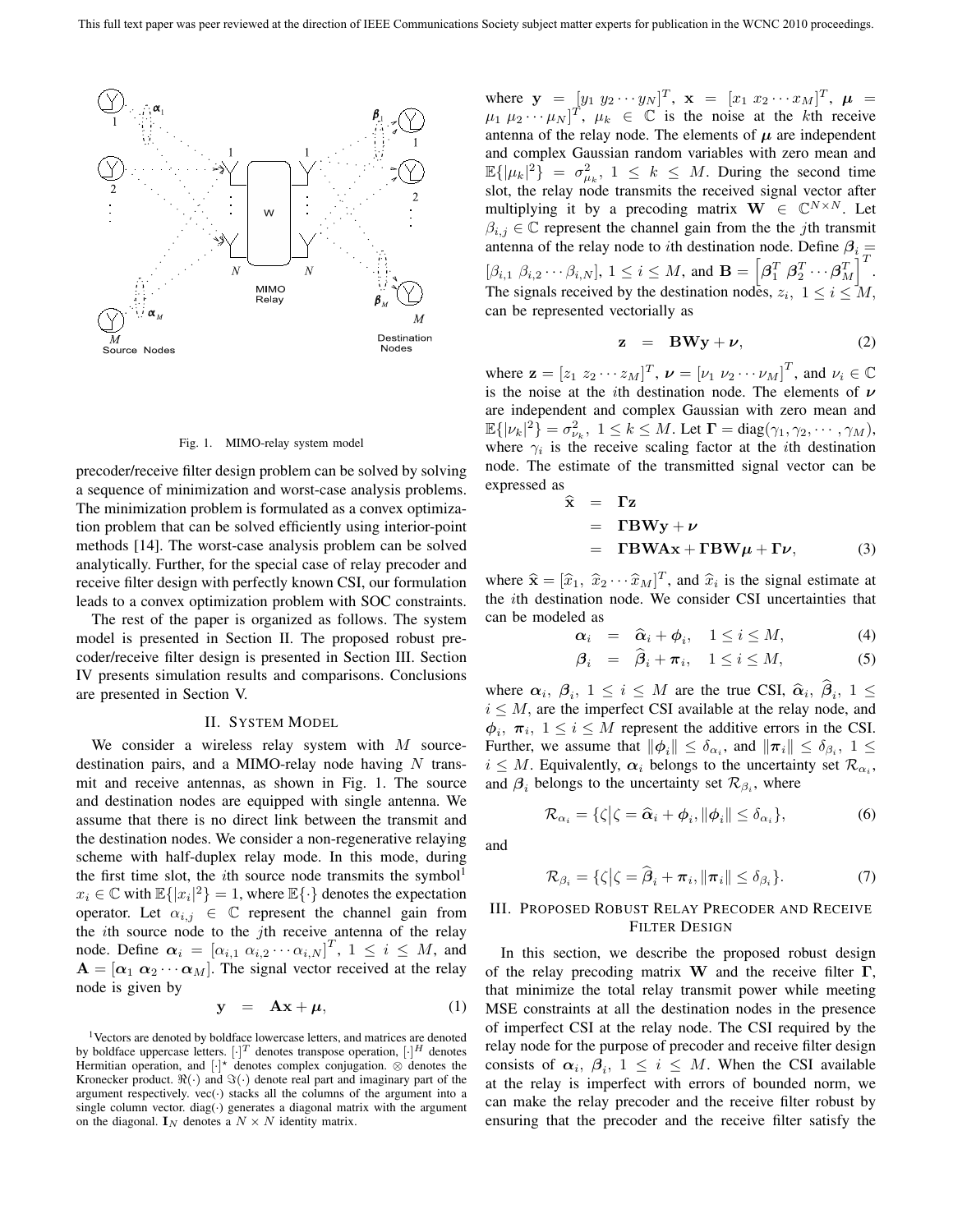

Fig. 1. MIMO-relay system model

precoder/receive filter design problem can be solved by solving a sequence of minimization and worst-case analysis problems. The minimization problem is formulated as a convex optimization problem that can be solved efficiently using interior-point methods [14]. The worst-case analysis problem can be solved analytically. Further, for the special case of relay precoder and receive filter design with perfectly known CSI, our formulation leads to a convex optimization problem with SOC constraints.

The rest of the paper is organized as follows. The system model is presented in Section II. The proposed robust precoder/receive filter design is presented in Section III. Section IV presents simulation results and comparisons. Conclusions are presented in Section V.

#### II. SYSTEM MODEL

We consider a wireless relay system with  $M$  sourcedestination pairs, and a MIMO-relay node having  $N$  transmit and receive antennas, as shown in Fig. 1. The source and destination nodes are equipped with single antenna. We assume that there is no direct link between the transmit and the destination nodes. We consider a non-regenerative relaying scheme with half-duplex relay mode. In this mode, during the first time slot, the *i*th source node transmits the symbol<sup>1</sup>  $x_i \in \mathbb{C}$  with  $\mathbb{E}\{|x_i|^2\} = 1$ , where  $\mathbb{E}\{\cdot\}$  denotes the expectation<br>operator. Let  $\alpha_i : \in \mathbb{C}$  represent the channel gain from operator. Let  $\alpha_{i,j} \in \mathbb{C}$  represent the channel gain from the *i*th source node to the *j*th receive antenna of the relay node. Define  $\alpha_i = [\alpha_{i,1} \alpha_{i,2} \cdots \alpha_{i,N}]^T$ ,  $1 \le i \le M$ , and  $\Delta = [\alpha_i, \alpha_{i,1}, \alpha_{i,2}]$ . The simply vector received at the relay  $A = [\alpha_1 \ \alpha_2 \cdots \alpha_M]$ . The signal vector received at the relay node is given by

$$
y = Ax + \mu, \qquad (1)
$$

<sup>1</sup>Vectors are denoted by boldface lowercase letters, and matrices are denoted by boldface uppercase letters.  $[\cdot]^T$  denotes transpose operation,  $[\cdot]^H$  denotes Hermitian operation, and  $[\cdot]^*$  denotes complex conjugation.  $\otimes$  denotes the Kronecker product.  $\Re(\cdot)$  and  $\Im(\cdot)$  denote real part and imaginary part of the argument respectively.  $vec(\cdot)$  stacks all the columns of the argument into a single column vector. diag( $\cdot$ ) generates a diagonal matrix with the argument on the diagonal.  $\mathbf{I}_N$  denotes a  $N \times N$  identity matrix.

where  $\mathbf{y} = \begin{bmatrix} y_1 & y_2 & \cdots & y_N \end{bmatrix}^T$ ,  $\mathbf{x} = \begin{bmatrix} x_1 & x_2 & \cdots & x_M \end{bmatrix}^T$ ,  $\boldsymbol{\mu} =$ <br>*He Harry Hy*  $\begin{bmatrix} y_1 & y_2 & \cdots & y_N \end{bmatrix}^T$  is the noise at the *k*th receive  $\mu_1 \mu_2 \cdots \mu_N$ ]<sup>T</sup>,  $\mu_k \in \mathbb{C}$  is the noise at the kth receive antenna of the relay node. The elements of  $\mu$  are independent and complex Gaussian random variables with zero mean and  $\mathbb{E}\{|\mu_k|^2\} = \sigma_{\mu_k}^2$ ,  $1 \leq k \leq M$ . During the second time slot, the relay node transmits the received signal vector after multiplying it by a precoding matrix **W**  $\in \mathbb{C}^{N \times N}$ . Let  $\beta_{i,j} \in \mathbb{C}$  represent the channel gain from the the *j*th transmit  $\beta_{i,j} \in \mathbb{C}$  represent the channel gain from the the *j*th transmit<br>antenna of the relay node to *i*th destination node. Define  $\beta$ antenna of the relay node to *i*th destination node. Define  $\beta_i =$  $[\beta_{i,1} \ \beta_{i,2} \cdots \beta_{i,N}], \ 1 \leq i \leq M$ , and  $\mathbf{B} = [\beta_1^T \ \beta_2^T \cdots \beta_M^T]^T$ .<br>The signals respired by the destination nodes  $x_i$ ,  $1 \leq i \leq M$ . The signals received by the destination nodes,  $z_i$ ,  $1 \le i \le M$ , can be represented vectorially as can be represented vectorially as

$$
z = BWy + \nu, \qquad (2)
$$

where  $\mathbf{z} = [z_1 \ z_2 \cdots z_M]^T$ ,  $\mathbf{\nu} = [\nu_1 \ \nu_2 \cdots \nu_M]^T$ , and  $\nu_i \in \mathbb{C}$ <br>is the noise at the *i*th destination node. The elements of  $\mathbf{\nu}$ is the noise at the ith destination node. The elements of *<sup>ν</sup>* are independent and complex Gaussian with zero mean and  $\mathbb{E}\{|v_k|^2\} = \sigma_{\nu_k}^2$ ,  $1 \le k \le M$ . Let  $\mathbf{\Gamma} = \text{diag}(\gamma_1, \gamma_2, \dots, \gamma_M)$ , where  $\alpha_k$  is the receive scaling factor at the *i*th destination where  $\gamma_i$  is the receive scaling factor at the *i*th destination<br>node. The estimate of the transmitted signal vector can be node. The estimate of the transmitted signal vector can be expressed as

$$
\hat{\mathbf{x}} = \mathbf{\Gamma} \mathbf{z} \n= \mathbf{\Gamma} \mathbf{B} \mathbf{W} \mathbf{y} + \nu \n= \mathbf{\Gamma} \mathbf{B} \mathbf{W} \mathbf{A} \mathbf{x} + \mathbf{\Gamma} \mathbf{B} \mathbf{W} \mu + \mathbf{\Gamma} \nu,
$$
\n(3)

where  $\hat{\mathbf{x}} = [\hat{x}_1, \ \hat{x}_2 \cdots \hat{x}_M]^T$ , and  $\hat{x}_i$  is the signal estimate at the *i*<sup>th</sup> destination node. We consider CSI uncertainties that the ith destination node. We consider CSI uncertainties that can be modeled as

$$
\alpha_i = \hat{\alpha}_i + \phi_i, \quad 1 \le i \le M,\tag{4}
$$

$$
\boldsymbol{\beta}_i = \boldsymbol{\beta}_i + \boldsymbol{\pi}_i, \quad 1 \le i \le M,\tag{5}
$$

where  $\alpha_i$ ,  $\beta_i$ ,  $1 \leq i \leq M$  are the true CSI,  $\hat{\alpha}_i$ ,  $\beta_i$ ,  $1 \leq$  $i \leq M$ , are the imperfect CSI available at the relay node, and  $\phi_i$ ,  $\pi_i$ ,  $1 \leq i \leq M$  represent the additive errors in the CSI. Further, we assume that  $\|\phi_i\| \leq \delta_{\alpha_i}$ , and  $\|\pi_i\| \leq \delta_{\beta_i}$ ,  $1 \leq$  $i \leq M$ . Equivalently,  $\alpha_i$  belongs to the uncertainty set  $\mathcal{R}_{\alpha_i}$ , and  $\beta_i$  belongs to the uncertainty set  $\mathcal{R}_{\beta_i}$ , where

$$
\mathcal{R}_{\alpha_i} = \{ \zeta | \zeta = \widehat{\alpha}_i + \phi_i, \|\phi_i\| \le \delta_{\alpha_i} \},\tag{6}
$$

and

$$
\mathcal{R}_{\beta_i} = \{ \zeta | \zeta = \widehat{\beta}_i + \pi_i, ||\pi_i|| \le \delta_{\beta_i} \}.
$$
 (7)

# III. PROPOSED ROBUST RELAY PRECODER AND RECEIVE FILTER DESIGN

In this section, we describe the proposed robust design of the relay precoding matrix **W** and the receive filter **Γ**, that minimize the total relay transmit power while meeting MSE constraints at all the destination nodes in the presence of imperfect CSI at the relay node. The CSI required by the relay node for the purpose of precoder and receive filter design consists of  $\alpha_i$ ,  $\beta_i$ ,  $1 \leq i \leq M$ . When the CSI available at the relay is imperfect with errors of bounded norm, we can make the relay precoder and the receive filter robust by ensuring that the precoder and the receive filter satisfy the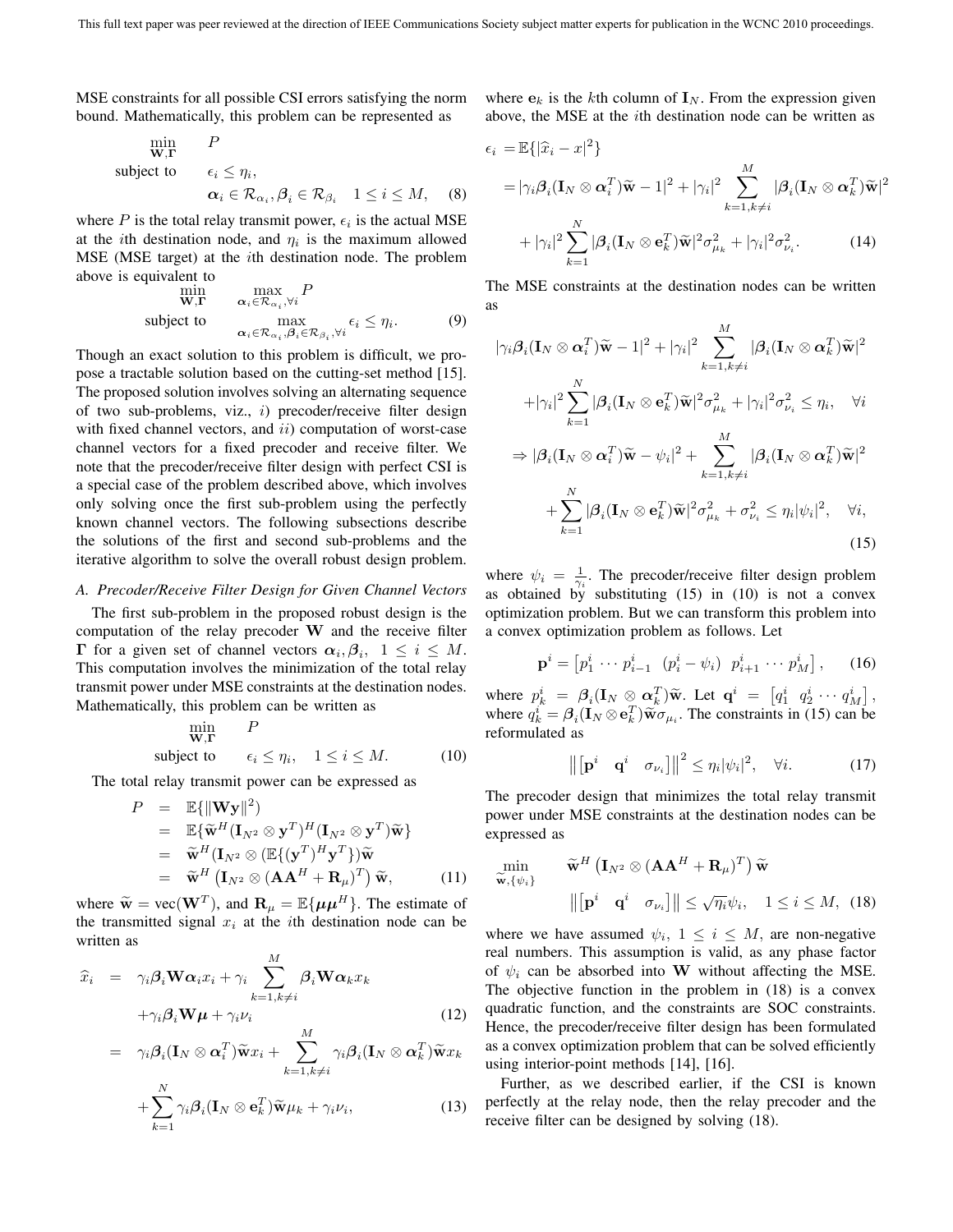MSE constraints for all possible CSI errors satisfying the norm bound. Mathematically, this problem can be represented as

$$
\begin{array}{ll}\n\min_{\mathbf{W}, \mathbf{\Gamma}} & P \\
\text{subject to} & \epsilon_i \leq \eta_i, \\
& \alpha_i \in \mathcal{R}_{\alpha_i}, \beta_i \in \mathcal{R}_{\beta_i} \quad 1 \leq i \leq M,\n\end{array} \tag{8}
$$

where P is the total relay transmit power,  $\epsilon_i$  is the actual MSE at the *i*th destination node, and  $\eta_i$  is the maximum allowed MSE (MSE target) at the ith destination node. The problem above is equivalent to

$$
\begin{array}{ll}\n\text{min} & \max_{\mathbf{W}, \mathbf{\Gamma}} P \\
\text{subject to} & \max_{\alpha_i \in \mathcal{R}_{\alpha_i}, \beta_i \in \mathcal{R}_{\beta_i}, \forall i} \epsilon_i \le \eta_i. \n\end{array} \tag{9}
$$

Though an exact solution to this problem is difficult, we propose a tractable solution based on the cutting-set method [15]. The proposed solution involves solving an alternating sequence of two sub-problems, viz., i) precoder/receive filter design with fixed channel vectors, and  $ii)$  computation of worst-case channel vectors for a fixed precoder and receive filter. We note that the precoder/receive filter design with perfect CSI is a special case of the problem described above, which involves only solving once the first sub-problem using the perfectly known channel vectors. The following subsections describe the solutions of the first and second sub-problems and the iterative algorithm to solve the overall robust design problem.

# *A. Precoder/Receive Filter Design for Given Channel Vectors*

The first sub-problem in the proposed robust design is the computation of the relay precoder **W** and the receive filter **Γ** for a given set of channel vectors  $\alpha_i, \beta_i, 1 \leq i \leq M$ . This computation involves the minimization of the total relay transmit power under MSE constraints at the destination nodes. Mathematically, this problem can be written as

$$
\min_{\mathbf{W}, \mathbf{\Gamma}} P
$$
\nsubject to 
$$
\epsilon_i \le \eta_i, \quad 1 \le i \le M. \tag{10}
$$

The total relay transmit power can be expressed as

$$
P = \mathbb{E}\{\|\mathbf{W}\mathbf{y}\|^2\}
$$
  
\n
$$
= \mathbb{E}\{\widetilde{\mathbf{w}}^H(\mathbf{I}_{N^2} \otimes \mathbf{y}^T)^H(\mathbf{I}_{N^2} \otimes \mathbf{y}^T)\widetilde{\mathbf{w}}\}
$$
  
\n
$$
= \widetilde{\mathbf{w}}^H(\mathbf{I}_{N^2} \otimes (\mathbb{E}\{(\mathbf{y}^T)^H \mathbf{y}^T\})\widetilde{\mathbf{w}}
$$
  
\n
$$
= \widetilde{\mathbf{w}}^H(\mathbf{I}_{N^2} \otimes (\mathbf{A}\mathbf{A}^H + \mathbf{R}_{\mu})^T)\widetilde{\mathbf{w}}, \qquad (11)
$$

where  $\widetilde{\mathbf{w}} = \text{vec}(\mathbf{W}^T)$ , and  $\mathbf{R}_{\mu} = \mathbb{E}\{\mu \mu^H\}$ . The estimate of the transmitted signal  $x_i$  at the *i*th destination node can be the transmitted signal  $x_i$  at the *i*th destination node can be written as  $\ddot{\phantom{0}}$ 

$$
\widehat{x}_i = \gamma_i \beta_i \mathbf{W} \alpha_i x_i + \gamma_i \sum_{k=1, k \neq i}^{M} \beta_i \mathbf{W} \alpha_k x_k + \gamma_i \beta_i \mathbf{W} \mu + \gamma_i \nu_i
$$
\n(12)

$$
= \gamma_i \beta_i (\mathbf{I}_N \otimes \boldsymbol{\alpha}_i^T) \widetilde{\mathbf{w}} x_i + \sum_{k=1, k \neq i}^M \gamma_i \beta_i (\mathbf{I}_N \otimes \boldsymbol{\alpha}_k^T) \widetilde{\mathbf{w}} x_k + \sum_{k=1}^N \gamma_i \beta_i (\mathbf{I}_N \otimes \mathbf{e}_k^T) \widetilde{\mathbf{w}} \mu_k + \gamma_i \nu_i,
$$
(13)

where  $\mathbf{e}_k$  is the kth column of  $\mathbf{I}_N$ . From the expression given above, the MSE at the ith destination node can be written as

$$
\epsilon_i = \mathbb{E}\{|\hat{x}_i - x|^2\}
$$
  
\n
$$
= |\gamma_i \beta_i (\mathbf{I}_N \otimes \boldsymbol{\alpha}_i^T) \tilde{\mathbf{w}} - 1|^2 + |\gamma_i|^2 \sum_{k=1, k \neq i}^M |\beta_i (\mathbf{I}_N \otimes \boldsymbol{\alpha}_k^T) \tilde{\mathbf{w}}|^2
$$
  
\n
$$
+ |\gamma_i|^2 \sum_{k=1}^N |\beta_i (\mathbf{I}_N \otimes \mathbf{e}_k^T) \tilde{\mathbf{w}}|^2 \sigma_{\mu_k}^2 + |\gamma_i|^2 \sigma_{\nu_i}^2.
$$
 (14)

The MSE constraints at the destination nodes can be written as

$$
|\gamma_i \beta_i (\mathbf{I}_N \otimes \boldsymbol{\alpha}_i^T) \tilde{\mathbf{w}} - 1|^2 + |\gamma_i|^2 \sum_{k=1, k \neq i}^M |\beta_i (\mathbf{I}_N \otimes \boldsymbol{\alpha}_k^T) \tilde{\mathbf{w}}|^2
$$
  
+ 
$$
|\gamma_i|^2 \sum_{k=1}^N |\beta_i (\mathbf{I}_N \otimes \mathbf{e}_k^T) \tilde{\mathbf{w}}|^2 \sigma_{\mu_k}^2 + |\gamma_i|^2 \sigma_{\nu_i}^2 \leq \eta_i, \quad \forall i
$$
  

$$
\Rightarrow |\beta_i (\mathbf{I}_N \otimes \boldsymbol{\alpha}_i^T) \tilde{\mathbf{w}} - \psi_i|^2 + \sum_{k=1, k \neq i}^M |\beta_i (\mathbf{I}_N \otimes \boldsymbol{\alpha}_k^T) \tilde{\mathbf{w}}|^2
$$
  
+ 
$$
\sum_{k=1}^N |\beta_i (\mathbf{I}_N \otimes \mathbf{e}_k^T) \tilde{\mathbf{w}}|^2 \sigma_{\mu_k}^2 + \sigma_{\nu_i}^2 \leq \eta_i |\psi_i|^2, \quad \forall i,
$$
(15)

where  $\psi_i = \frac{1}{\gamma_i}$ . The precoder/receive filter design problem<br>as obtained by substituting (15) in (10) is not a convex as obtained by substituting (15) in (10) is not a convex optimization problem. But we can transform this problem into a convex optimization problem as follows. Let

$$
\mathbf{p}^{i} = \begin{bmatrix} p_1^i & \cdots & p_{i-1}^i & (p_i^i - \psi_i) & p_{i+1}^i & \cdots & p_M^i \end{bmatrix}, \quad (16)
$$

where  $p_k^i = \beta_i (\mathbf{I}_N \otimes \alpha_k^T) \tilde{\mathbf{w}}$ . Let  $\mathbf{q}^i = [q_1^i \ q_2^i \ \cdots \ q_M^i]$ <br>where  $q^i = \beta_i (\mathbf{I}_N \otimes \mathbf{q}^T) \tilde{\mathbf{w}}$ . The constraints in (15) can b where  $q_k^i = \beta_i (\mathbf{I}_N \otimes \mathbf{e}_k^T) \widetilde{\mathbf{w}} \sigma_{\mu_i}$ . The constraints in (15) can be reformulated as reformulated as

$$
\left\| \begin{bmatrix} \mathbf{p}^i & \mathbf{q}^i & \sigma_{\nu_i} \end{bmatrix} \right\|^2 \leq \eta_i |\psi_i|^2, \quad \forall i. \tag{17}
$$

The precoder design that minimizes the total relay transmit power under MSE constraints at the destination nodes can be expressed as

$$
\min_{\widetilde{\mathbf{w}}, \{\psi_i\}} \quad \widetilde{\mathbf{w}}^H \left( \mathbf{I}_{N^2} \otimes (\mathbf{A} \mathbf{A}^H + \mathbf{R}_{\mu})^T \right) \widetilde{\mathbf{w}}
$$
\n
$$
\left\| \begin{bmatrix} \mathbf{p}^i & \mathbf{q}^i & \sigma_{\nu_i} \end{bmatrix} \right\| \leq \sqrt{\eta_i} \psi_i, \quad 1 \leq i \leq M, \tag{18}
$$

where we have assumed  $\psi_i$ ,  $1 \leq i \leq M$ , are non-negative real numbers. This assumption is valid, as any phase factor of  $\psi_i$  can be absorbed into **W** without affecting the MSE. The objective function in the problem in (18) is a convex quadratic function, and the constraints are SOC constraints. Hence, the precoder/receive filter design has been formulated as a convex optimization problem that can be solved efficiently using interior-point methods [14], [16].

Further, as we described earlier, if the CSI is known perfectly at the relay node, then the relay precoder and the receive filter can be designed by solving (18).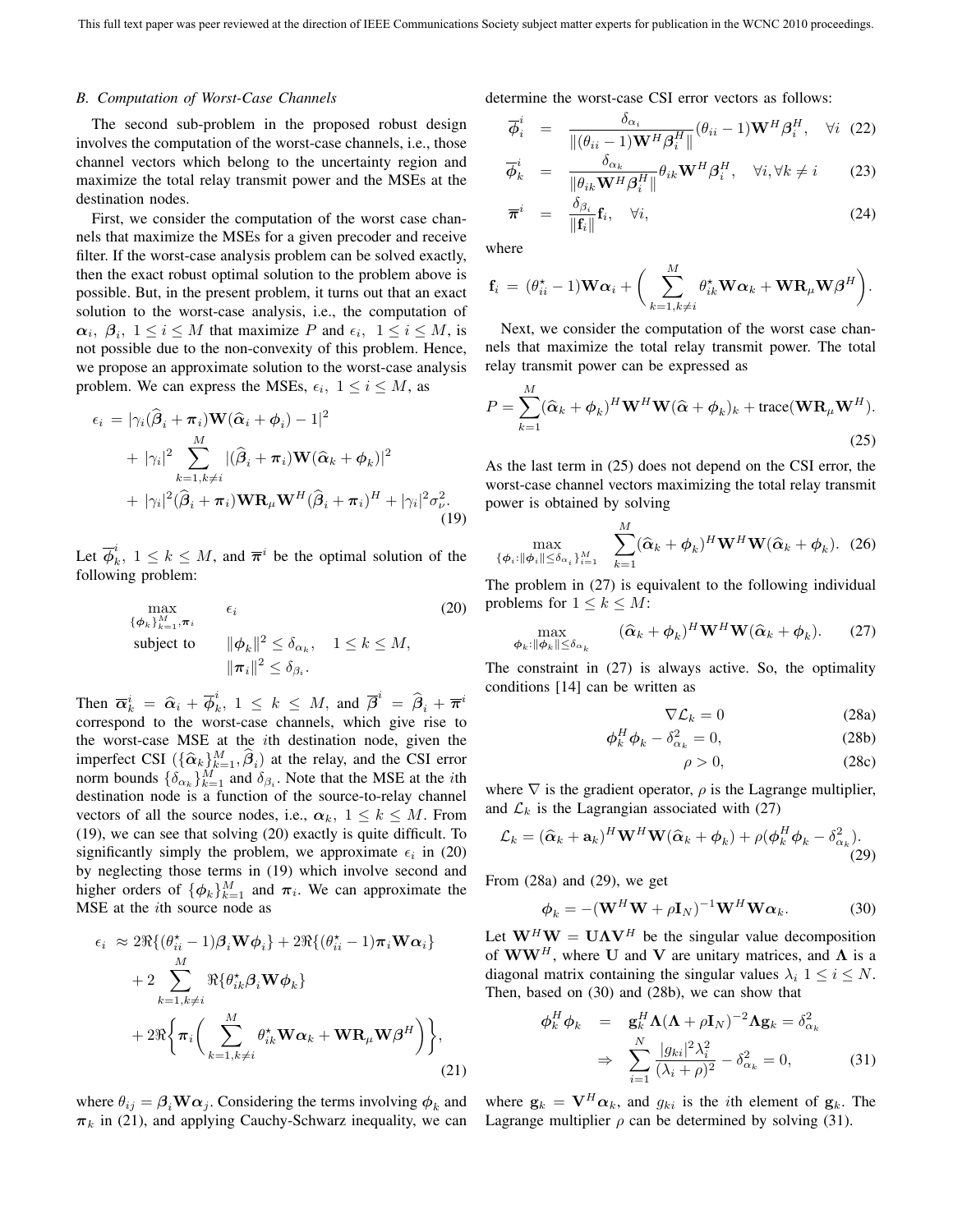#### *B. Computation of Worst-Case Channels*

The second sub-problem in the proposed robust design involves the computation of the worst-case channels, i.e., those channel vectors which belong to the uncertainty region and maximize the total relay transmit power and the MSEs at the destination nodes.

First, we consider the computation of the worst case channels that maximize the MSEs for a given precoder and receive filter. If the worst-case analysis problem can be solved exactly, then the exact robust optimal solution to the problem above is possible. But, in the present problem, it turns out that an exact solution to the worst-case analysis, i.e., the computation of  $\alpha_i$ ,  $\beta_i$ ,  $1 \le i \le M$  that maximize *P* and  $\epsilon_i$ ,  $1 \le i \le M$ , is not possible due to the non-convexity of this problem. Hence, we propose an approximate solution to the worst-case analysis problem. We can express the MSEs,  $\epsilon_i$ ,  $1 \le i \le M$ , as

$$
\epsilon_i = |\gamma_i(\hat{\beta}_i + \pi_i) \mathbf{W}(\hat{\alpha}_i + \phi_i) - 1|^2
$$
  
+ 
$$
|\gamma_i|^2 \sum_{k=1, k \neq i}^M |(\hat{\beta}_i + \pi_i) \mathbf{W}(\hat{\alpha}_k + \phi_k)|^2
$$
  
+ 
$$
|\gamma_i|^2 (\hat{\beta}_i + \pi_i) \mathbf{W} \mathbf{R}_{\mu} \mathbf{W}^H (\hat{\beta}_i + \pi_i)^H + |\gamma_i|^2 \sigma_{\nu}^2.
$$
(19)

Let  $\overline{\phi}_k^i$ ,  $1 \leq k \leq M$ , and  $\overline{\pi}^i$  be the optimal solution of the following problem: following problem:

$$
\max_{\{\phi_k\}_{k=1}^M, \pi_i} \epsilon_i
$$
\nsubject to

\n
$$
\|\phi_k\|^2 \leq \delta_{\alpha_k}, \quad 1 \leq k \leq M,
$$
\n
$$
\|\pi_i\|^2 \leq \delta_{\beta_i}.
$$
\n(20)

Then  $\overline{\alpha}_k^i = \hat{\alpha}_i + \overline{\phi}_k^i$ ,  $1 \leq k \leq M$ , and  $\overline{\beta}^i = \hat{\beta}_i + \overline{\pi}^i$ <br>correspond to the worst-case channels, which give rise to correspond to the worst-case channels, which give rise to the worst-case MSE at the *i*th destination node, given the imperfect CSI  $(\hat{A}, \hat{M}, \hat{A})$  at the relay and the CSI error imperfect CSI  $(\{\hat{\alpha}_k\}_{k=1}^M, \hat{\beta}_i)$  at the relay, and the CSI error<br>norm bounds  $\{\hat{\delta}_k\}_{k=1}^M$  and  $\hat{\delta}_k$ . Note that the MSE at the *i*th norm bounds  $\{\delta_{\alpha_k}\}_{k=1}^M$  and  $\delta_{\beta_i}$ . Note that the MSE at the *i*th destination node is a function of the source-to-relay channel destination node is a function of the source-to-relay channel vectors of all the source nodes, i.e.,  $\alpha_k$ ,  $1 \leq k \leq M$ . From (19), we can see that solving (20) exactly is quite difficult. To significantly simply the problem, we approximate  $\epsilon_i$  in (20) by neglecting those terms in (19) which involve second and higher orders of  $\{\phi_k\}_{k=1}^M$  and  $\pi_i$ . We can approximate the MSE at the ith source node as

$$
\epsilon_i \approx 2\Re\{(\theta_{ii}^{\star} - 1)\beta_i \mathbf{W} \phi_i\} + 2\Re\{(\theta_{ii}^{\star} - 1)\boldsymbol{\pi}_i \mathbf{W} \alpha_i\} + 2 \sum_{k=1, k \neq i}^{M} \Re\{\theta_{ik}^{\star} \boldsymbol{\beta}_i \mathbf{W} \phi_k\} + 2\Re\{\boldsymbol{\pi}_i \bigg(\sum_{k=1, k \neq i}^{M} \theta_{ik}^{\star} \mathbf{W} \alpha_k + \mathbf{W} \mathbf{R}_{\mu} \mathbf{W} \boldsymbol{\beta}^H\bigg)\},
$$
(21)

 $\pi_k$  in (21), and applying Cauchy-Schwarz inequality, we can Lagrange multiplier  $\rho$  can be determined by solving (31).

determine the worst-case CSI error vectors as follows:

$$
\overline{\phi}_i^i = \frac{\delta_{\alpha_i}}{\|(\theta_{ii} - 1)\mathbf{W}^H \boldsymbol{\beta}_i^H \|} (\theta_{ii} - 1) \mathbf{W}^H \boldsymbol{\beta}_i^H, \quad \forall i \quad (22)
$$

$$
\overline{\phi}_k^i = \frac{\delta_{\alpha_k}}{\|\theta_{ik}\mathbf{W}^H\beta_i^H\|} \theta_{ik}\mathbf{W}^H\beta_i^H, \quad \forall i, \forall k \neq i \tag{23}
$$

$$
\overline{\boldsymbol{\pi}}^i = \frac{\delta_{\beta_i}}{\|\mathbf{f}_i\|} \mathbf{f}_i, \quad \forall i,
$$
\n(24)

where

$$
\mathbf{f}_i = (\theta_{ii}^{\star} - 1)\mathbf{W}\boldsymbol{\alpha}_i + \bigg(\sum_{k=1, k\neq i}^M \theta_{ik}^{\star}\mathbf{W}\boldsymbol{\alpha}_k + \mathbf{W}\mathbf{R}_{\mu}\mathbf{W}\boldsymbol{\beta}^H\bigg).
$$

Next, we consider the computation of the worst case channels that maximize the total relay transmit power. The total relay transmit power can be expressed as

$$
P = \sum_{k=1}^{M} (\widehat{\alpha}_k + \phi_k)^H \mathbf{W}^H \mathbf{W} (\widehat{\alpha} + \phi_k)_k + \text{trace}(\mathbf{W} \mathbf{R}_{\mu} \mathbf{W}^H).
$$
\n(25)

As the last term in (25) does not depend on the CSI error, the worst-case channel vectors maximizing the total relay transmit power is obtained by solving

$$
\max_{\{\boldsymbol{\phi}_i: \|\boldsymbol{\phi}_i\| \leq \delta_{\alpha_i}\}_{i=1}^M} \quad \sum_{k=1}^M (\widehat{\boldsymbol{\alpha}}_k + \boldsymbol{\phi}_k)^H \mathbf{W}^H \mathbf{W} (\widehat{\boldsymbol{\alpha}}_k + \boldsymbol{\phi}_k). \tag{26}
$$

The problem in (27) is equivalent to the following individual problems for  $1 \leq k \leq M$ :

$$
\max_{\boldsymbol{\phi}_k: \|\boldsymbol{\phi}_k\| \le \delta_{\alpha_k}} \qquad (\widehat{\boldsymbol{\alpha}}_k + \boldsymbol{\phi}_k)^H \mathbf{W}^H \mathbf{W} (\widehat{\boldsymbol{\alpha}}_k + \boldsymbol{\phi}_k). \tag{27}
$$

The constraint in (27) is always active. So, the optimality conditions [14] can be written as

$$
\nabla \mathcal{L}_k = 0 \tag{28a}
$$

$$
\phi_k^H \phi_k - \delta_{\alpha_k}^2 = 0, \tag{28b}
$$

$$
\rho > 0, \tag{28c}
$$

where  $\nabla$  is the gradient operator,  $\rho$  is the Lagrange multiplier, and  $\mathcal{L}_k$  is the Lagrangian associated with (27)

$$
\mathcal{L}_k = (\widehat{\boldsymbol{\alpha}}_k + \mathbf{a}_k)^H \mathbf{W}^H \mathbf{W} (\widehat{\boldsymbol{\alpha}}_k + \boldsymbol{\phi}_k) + \rho (\boldsymbol{\phi}_k^H \boldsymbol{\phi}_k - \delta_{\alpha_k}^2). \tag{29}
$$

From (28a) and (29), we get

$$
\phi_k = -(\mathbf{W}^H \mathbf{W} + \rho \mathbf{I}_N)^{-1} \mathbf{W}^H \mathbf{W} \alpha_k.
$$
 (30)

Let  $W^H W = U \Lambda V^H$  be the singular value decomposition<br>of  $WW^H$  where H and V are unitary matrices and  $\Lambda$  is a of  $\mathbf{WW}^H$ , where **U** and **V** are unitary matrices, and  $\Lambda$  is a diagonal matrix containing the singular values  $\lambda_i$   $1 \leq i \leq N$ . Then, based on (30) and (28b), we can show that

$$
\begin{aligned}\n\phi_k^H \phi_k &= \mathbf{g}_k^H \mathbf{\Lambda} (\mathbf{\Lambda} + \rho \mathbf{I}_N)^{-2} \mathbf{\Lambda} \mathbf{g}_k = \delta_{\alpha_k}^2 \\
&\Rightarrow \sum_{i=1}^N \frac{|g_{ki}|^2 \lambda_i^2}{(\lambda_i + \rho)^2} - \delta_{\alpha_k}^2 = 0,\n\end{aligned} \tag{31}
$$

where  $\theta_{ij} = \beta_i \mathbf{W} \alpha_j$ . Considering the terms involving  $\phi_k$  and where  $\mathbf{g}_k = \mathbf{V}^H \alpha_k$ , and  $g_{ki}$  is the *i*th element of  $\mathbf{g}_k$ . The  $\pi_i$ , in (21) and applying Cauchy-Schwarz inequality we can. Lagrange m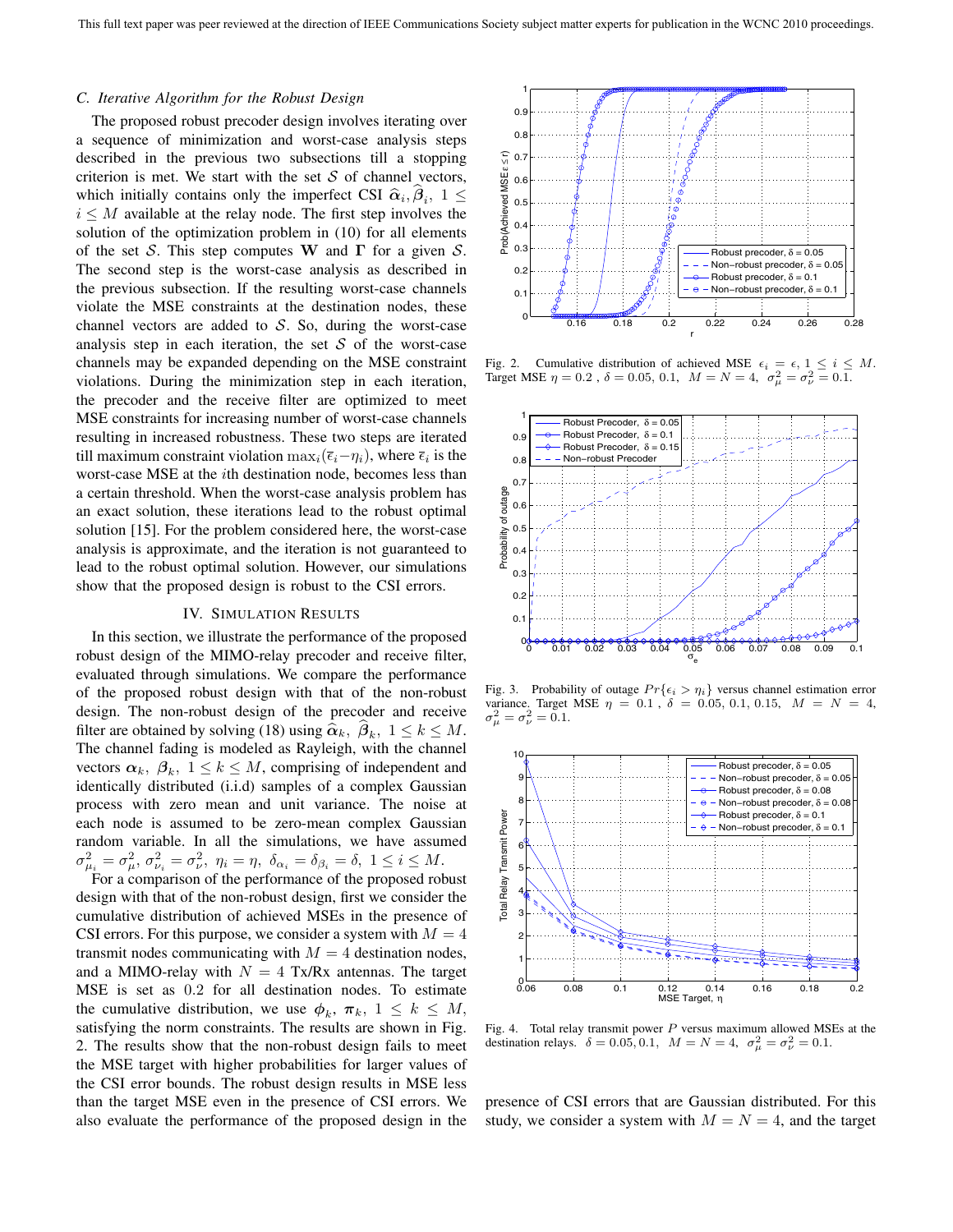# *C. Iterative Algorithm for the Robust Design*

The proposed robust precoder design involves iterating over a sequence of minimization and worst-case analysis steps described in the previous two subsections till a stopping criterion is met. We start with the set  $S$  of channel vectors, which initially contains only the imperfect CSI  $\hat{\alpha}_i, \beta_i, 1 \leq$  $i \leq M$  available at the relay node. The first step involves the solution of the optimization problem in (10) for all elements of the set <sup>S</sup>. This step computes **W** and **Γ** for a given <sup>S</sup>. The second step is the worst-case analysis as described in the previous subsection. If the resulting worst-case channels violate the MSE constraints at the destination nodes, these channel vectors are added to  $S$ . So, during the worst-case analysis step in each iteration, the set  $S$  of the worst-case channels may be expanded depending on the MSE constraint violations. During the minimization step in each iteration, the precoder and the receive filter are optimized to meet MSE constraints for increasing number of worst-case channels resulting in increased robustness. These two steps are iterated till maximum constraint violation  $\max_i(\bar{\epsilon}_i-\eta_i)$ , where  $\bar{\epsilon}_i$  is the worst-case MSE at the ith destination node, becomes less than a certain threshold. When the worst-case analysis problem has an exact solution, these iterations lead to the robust optimal solution [15]. For the problem considered here, the worst-case analysis is approximate, and the iteration is not guaranteed to lead to the robust optimal solution. However, our simulations show that the proposed design is robust to the CSI errors.

# IV. SIMULATION RESULTS

In this section, we illustrate the performance of the proposed robust design of the MIMO-relay precoder and receive filter, evaluated through simulations. We compare the performance of the proposed robust design with that of the non-robust design. The non-robust design of the precoder and receive filter are obtained by solving (18) using  $\hat{\alpha}_k$ ,  $\beta_k$ ,  $1 \leq k \leq M$ . The channel fading is modeled as Rayleigh, with the channel vectors  $\alpha_k$ ,  $\beta_k$ ,  $1 \leq k \leq M$ , comprising of independent and identically distributed (i.i.d) samples of a complex Gaussian process with zero mean and unit variance. The noise at each node is assumed to be zero-mean complex Gaussian random variable. In all the simulations, we have assumed  $\sigma_{\mu_i}^2 = \sigma_{\mu_i}^2$ ,  $\sigma_{\nu_i}^2 = \sigma_{\nu_i}^2$ ,  $\eta_i = \eta$ ,  $\delta_{\alpha_i} = \delta_{\beta_i} = \delta$ ,  $1 \le i \le M$ .<br>For a comparison of the performance of the proposed rob

For a comparison of the performance of the proposed robust design with that of the non-robust design, first we consider the cumulative distribution of achieved MSEs in the presence of CSI errors. For this purpose, we consider a system with  $M = 4$ transmit nodes communicating with  $M = 4$  destination nodes, and a MIMO-relay with  $N = 4$  Tx/Rx antennas. The target MSE is set as <sup>0</sup>.<sup>2</sup> for all destination nodes. To estimate the cumulative distribution, we use  $\phi_k$ ,  $\pi_k$ ,  $1 \leq k \leq M$ , satisfying the norm constraints. The results are shown in Fig. 2. The results show that the non-robust design fails to meet the MSE target with higher probabilities for larger values of the CSI error bounds. The robust design results in MSE less than the target MSE even in the presence of CSI errors. We also evaluate the performance of the proposed design in the



Fig. 2. Cumulative distribution of achieved MSE  $\epsilon_i = \epsilon, 1 \leq i \leq M$ .<br>Target MSE  $\eta = 0.2$ ,  $\delta = 0.05, 0.1, M = N = 4, \sigma_{\mu}^2 = \sigma_{\nu}^2 = 0.1$ .



Fig. 3. Probability of outage  $Pr{\{\epsilon_i > \eta_i\}}$  versus channel estimation error variance. Target MSE  $\eta = 0.1$ ,  $\delta = 0.05, 0.1, 0.15, M = N = 4$ ,  $\sigma_{\mu}^{2} = \sigma_{\nu}^{2} = 0.1.$ 



Fig. 4. Total relay transmit power  $P$  versus maximum allowed MSEs at the destination relays.  $\delta = 0.05, 0.1, M = N = 4, \sigma_{\mu}^2 = \sigma_{\nu}^2 = 0.1.$ 

presence of CSI errors that are Gaussian distributed. For this study, we consider a system with  $M = N = 4$ , and the target